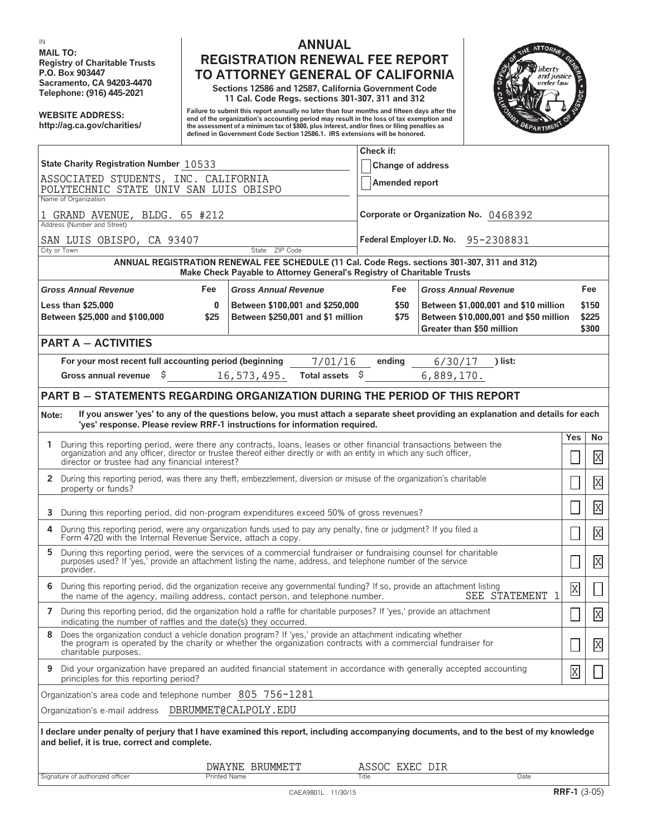**MAIL TO:**

## **IN ANNUAL Registry of Charitable Trusts**<br> **REGISTRATION RENEWAL FEE REPORT**<br> **REGISTRATION RENEWAL FEE REPORT**<br> **REGISTRATION RENERAL OF CALIFORNIA P.O. Box 903447 TO ATTORNEY GENERAL OF CALIFORNIA**

**Sacramento, CA 94203-4470 Sections 12586 and 12587, California Government Code Telephone: (916) 445-2021 11 Cal. Code Regs. sections 301-307, 311 and 312**

Failure to submit this report annually no later than four months and fifteen days after the<br>Internalization's accounting period in the loss of tax exemption and the loss of the loss of the loss of the c<br>Inte assessment of **defined in Government Code Section 12586.1. IRS extensions will be honored.**



|                                                                                                                                                                                                                                                            | Check if:                                                            |                                       |                                                                                                            |                |                               |
|------------------------------------------------------------------------------------------------------------------------------------------------------------------------------------------------------------------------------------------------------------|----------------------------------------------------------------------|---------------------------------------|------------------------------------------------------------------------------------------------------------|----------------|-------------------------------|
| State Charity Registration Number 10533                                                                                                                                                                                                                    | <b>Change of address</b>                                             |                                       |                                                                                                            |                |                               |
| ASSOCIATED STUDENTS, INC. CALIFORNIA<br>POLYTECHNIC STATE UNIV SAN LUIS OBISPO                                                                                                                                                                             |                                                                      | Amended report                        |                                                                                                            |                |                               |
| Name of Organization                                                                                                                                                                                                                                       |                                                                      |                                       |                                                                                                            |                |                               |
| 1 GRAND AVENUE, BLDG. 65 #212<br>Address (Number and Street)                                                                                                                                                                                               |                                                                      | Corporate or Organization No. 0468392 |                                                                                                            |                |                               |
| SAN LUIS OBISPO, CA 93407                                                                                                                                                                                                                                  | Federal Employer I.D. No. 95-2308831                                 |                                       |                                                                                                            |                |                               |
| State ZIP Code<br>City or Town                                                                                                                                                                                                                             |                                                                      |                                       |                                                                                                            |                |                               |
| ANNUAL REGISTRATION RENEWAL FEE SCHEDULE (11 Cal. Code Regs. sections 301-307, 311 and 312)<br>Make Check Payable to Attorney General's Registry of Charitable Trusts                                                                                      |                                                                      |                                       |                                                                                                            |                |                               |
| <b>Gross Annual Revenue</b><br>Fee<br><b>Gross Annual Revenue</b>                                                                                                                                                                                          |                                                                      | Fee                                   | <b>Gross Annual Revenue</b>                                                                                |                | Fee                           |
| <b>Less than \$25,000</b><br>$\bf{0}$<br>Between \$25,000 and \$100,000<br>\$25                                                                                                                                                                            | Between \$100,001 and \$250,000<br>Between \$250,001 and \$1 million | \$50<br>\$75                          | Between \$1,000,001 and \$10 million<br>Between \$10,000,001 and \$50 million<br>Greater than \$50 million |                | \$150<br>\$225<br>\$300       |
| <b>PART A - ACTIVITIES</b>                                                                                                                                                                                                                                 |                                                                      |                                       |                                                                                                            |                |                               |
| For your most recent full accounting period (beginning<br>Gross annual revenue $\frac{1}{2}$<br>16,573,495.                                                                                                                                                | 7/01/16<br>Total assets \$                                           | ending                                | 6/30/17<br>) list:<br>6,889,170.                                                                           |                |                               |
|                                                                                                                                                                                                                                                            |                                                                      |                                       |                                                                                                            |                |                               |
| <b>PART B - STATEMENTS REGARDING ORGANIZATION DURING THE PERIOD OF THIS REPORT</b>                                                                                                                                                                         |                                                                      |                                       |                                                                                                            |                |                               |
| If you answer 'yes' to any of the questions below, you must attach a separate sheet providing an explanation and details for each<br>Note:<br>'yes' response. Please review RRF-1 instructions for information required.                                   |                                                                      |                                       |                                                                                                            |                |                               |
| 1 During this reporting period, were there any contracts, loans, leases or other financial transactions between the<br>organization and any officer, director or trustee thereof either directly or with an entity in which any such officer,              |                                                                      |                                       |                                                                                                            | Yes            | No<br>X                       |
| director or trustee had any financial interest?                                                                                                                                                                                                            |                                                                      |                                       |                                                                                                            |                |                               |
| 2 During this reporting period, was there any theft, embezzlement, diversion or misuse of the organization's charitable<br>property or funds?                                                                                                              |                                                                      |                                       |                                                                                                            |                | $\overline{X}$                |
| During this reporting period, did non-program expenditures exceed 50% of gross revenues?<br>3                                                                                                                                                              |                                                                      |                                       |                                                                                                            |                | $\overline{X}$                |
| During this reporting period, were any organization funds used to pay any penalty, fine or judgment? If you filed a<br>4<br>Form 4720 with the Internal Revenue Service, attach a copy.                                                                    |                                                                      |                                       |                                                                                                            |                | $\overline{X}$                |
| During this reporting period, were the services of a commercial fundraiser or fundraising counsel for charitable<br>5<br>purposes used? If 'yes,' provide an attachment listing the name, address, and telephone number of the service<br>provider.        |                                                                      |                                       |                                                                                                            |                | $\overline{X}$                |
| 6 During this reporting period, did the organization receive any governmental funding? If so, provide an attachment listing<br>SEE STATEMENT 1<br>the name of the agency, mailing address, contact person, and telephone number.                           |                                                                      |                                       |                                                                                                            | $\overline{X}$ | $\Box$                        |
| 7 During this reporting period, did the organization hold a raffle for charitable purposes? If 'yes,' provide an attachment<br>indicating the number of raffles and the date(s) they occurred.                                                             |                                                                      |                                       |                                                                                                            |                | $\overline{\mathrm{X}}$<br>تت |
| Does the organization conduct a vehicle donation program? If 'yes,' provide an attachment indicating whether<br>8<br>the program is operated by the charity or whether the organization contracts with a commercial fundraiser for<br>charitable purposes. |                                                                      |                                       |                                                                                                            |                | X                             |
| Did your organization have prepared an audited financial statement in accordance with generally accepted accounting<br>9<br>principles for this reporting period?                                                                                          |                                                                      |                                       |                                                                                                            | X              |                               |
| Organization's area code and telephone number 805 756-1281                                                                                                                                                                                                 |                                                                      |                                       |                                                                                                            |                |                               |
| Organization's e-mail address  DBRUMMET@CALPOLY.EDU                                                                                                                                                                                                        |                                                                      |                                       |                                                                                                            |                |                               |
| I declare under penalty of perjury that I have examined this report, including accompanying documents, and to the best of my knowledge<br>and belief, it is true, correct and complete.                                                                    |                                                                      |                                       |                                                                                                            |                |                               |
|                                                                                                                                                                                                                                                            |                                                                      |                                       |                                                                                                            |                |                               |
| <b>Printed Name</b><br>Signature of authorized officer                                                                                                                                                                                                     | DWAYNE BRUMMETT                                                      | ASSOC EXEC DIR<br>Title               | Date                                                                                                       |                |                               |
|                                                                                                                                                                                                                                                            |                                                                      |                                       |                                                                                                            |                |                               |